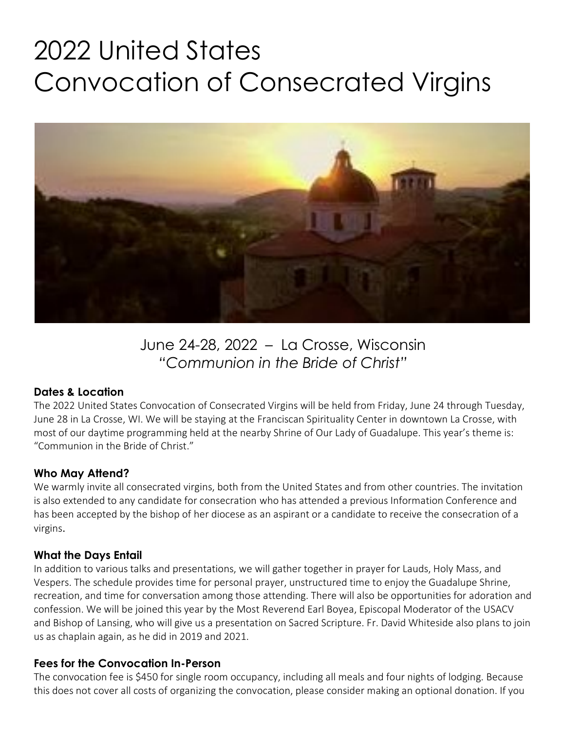# 2022 United States Convocation of Consecrated Virgins



June 24-28, 2022 – La Crosse, Wisconsin *"Communion in the Bride of Christ"*

## **Dates & Location**

The 2022 United States Convocation of Consecrated Virgins will be held from Friday, June 24 through Tuesday, June 28 in La Crosse, WI. We will be staying at the Franciscan Spirituality Center in downtown La Crosse, with most of our daytime programming held at the nearby Shrine of Our Lady of Guadalupe. This year's theme is: "Communion in the Bride of Christ."

#### **Who May Attend?**

We warmly invite all consecrated virgins, both from the United States and from other countries. The invitation is also extended to any candidate for consecration who has attended a previous Information Conference and has been accepted by the bishop of her diocese as an aspirant or a candidate to receive the consecration of a virgins.

## **What the Days Entail**

In addition to various talks and presentations, we will gather together in prayer for Lauds, Holy Mass, and Vespers. The schedule provides time for personal prayer, unstructured time to enjoy the Guadalupe Shrine, recreation, and time for conversation among those attending. There will also be opportunities for adoration and confession. We will be joined this year by the Most Reverend Earl Boyea, Episcopal Moderator of the USACV and Bishop of Lansing, who will give us a presentation on Sacred Scripture. Fr. David Whiteside also plans to join us as chaplain again, as he did in 2019 and 2021.

#### **Fees for the Convocation In-Person**

The convocation fee is \$450 for single room occupancy, including all meals and four nights of lodging. Because this does not cover all costs of organizing the convocation, please consider making an optional donation. If you